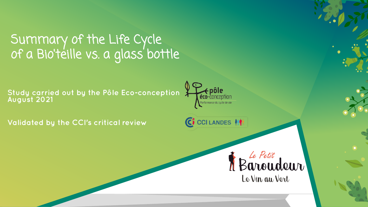### Summary of the Life Cycle of a Bio'teille vs. a glass bottle

**Study carried out by the Pôle Eco-conception August 2021**



C CCI LANDES

**Validated by the CCI's critical review**

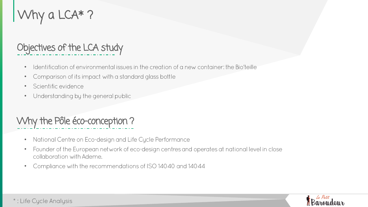# Why a LCA\* ?

#### Objectives of the LCA study

- Identification of environmental issues in the creation of a new container: the Bio'teille  $\bullet$
- Comparison of its impact with a standard glass bottle  $\bullet$
- Scientific evidence •
- Understanding by the general public •

#### Why the Pôle éco-conception ?

- National Centre on Eco-design and Life Cycle Performance  $\bullet$
- Founder of the European network of eco-design centres and operates at national level in close • collaboration with Ademe.
- Compliance with the recommendations of ISO 14040 and 14044 •

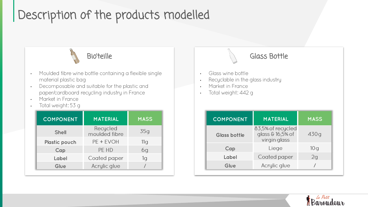### Description of the products modelled



- Moulded fibre wine bottle containing a flexible single • material plastic bag
- Decomposable and suitable for the plastic and • paper/cardboard recycling industry in France
- Market in France •
- Total weight: 53 g •

| <b>COMPONENT</b>     | MATERIAL                  | <b>MASS</b>    |
|----------------------|---------------------------|----------------|
| <b>Shell</b>         | Recycled<br>moulded fibre | 35q            |
| <b>Plastic pouch</b> | PE + EVOH                 | 11g            |
| Cap                  | PE HD                     | 6g             |
| Label                | <b>Coated paper</b>       | 1 <sub>G</sub> |
| Glue                 | Acrylic glue              |                |



Acrylic glue

**Glue**



 $\sqrt{2}$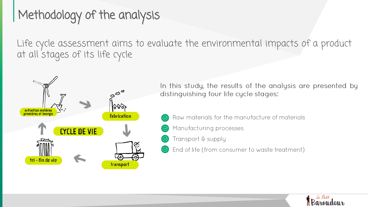# Methodology of the analysis

Life cycle assessment aims to evaluate the environmental impacts of a product at all stages of its life cycle



In this study, the results of the analysis are presented by distinguishing four life cycle stages:

- Raw materials for the manufacture of materials
- Manufacturing processes
- Transport & supply  $(\heartsuit)$
- End of life (from consumer to waste treatment)  $\circledcirc$

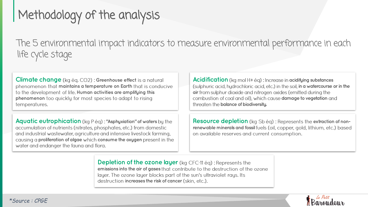# Methodology of the analysis

The 5 environmental impact indicators to measure environmental performance in each life cycle stage

**Climate change** (kg éq. CO2): Greenhouse effect is a natural phenomenon that maintains a temperature on Earth that is conducive to the development of life. Human activities are amplifying this **phenomenon** too quickly for most species to adapt to rising temperatures.

**Aquatic eutrophication** (kg P ég): "Asphyxiation" of waters by the accumulation of nutrients (nitrates, phosphates, etc.) from domestic and industrial wastewater, agriculture and intensive livestock farming, causing a **proliferation of algae** which **consume the oxygen** present in the water and endanger the fauna and flora.

**Acidification** (kg mol H+ éq) : Increase in acidifying substances (sulphuric acid, hydrochloric acid, etc.) in the soil, in a watercourse or in the **air** from sulphur dioxide and nitrogen oxides (emitted during the combustion of coal and oil), which cause **damage to vegetation** and threaten the **balance of biodiversity.** 

**Resource depletion** (kg Sb ég) : Represents the extraction of non**renewable minerals and fossil** fuels (oil, copper, gold, lithium, etc.) based on available reserves and current consumption.

**Depletion of the ozone layer** (kg CFC-11 ég) : Represents the **emissions into the air of gases**  layer. The ozone layer blocks part of the sun's ultraviolet rays. Its destruction **increases the risk of cancer** (skin. etc.).

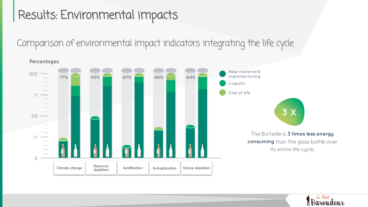### Results: Environmental impacts

Comparison of environmental impact indicators integrating the life cycle



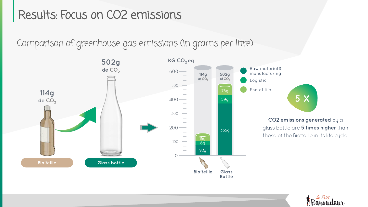#### Results: Focus on CO2 emissions

Comparison of greenhouse gas emissions (in grams per litre)



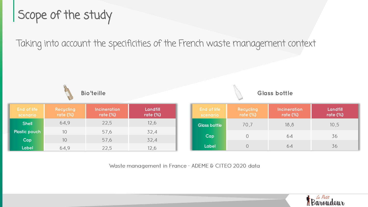### Scope of the study

Taking into account the specificities of the French waste management context



Waste management in France - ADEME & CITEO 2020 data